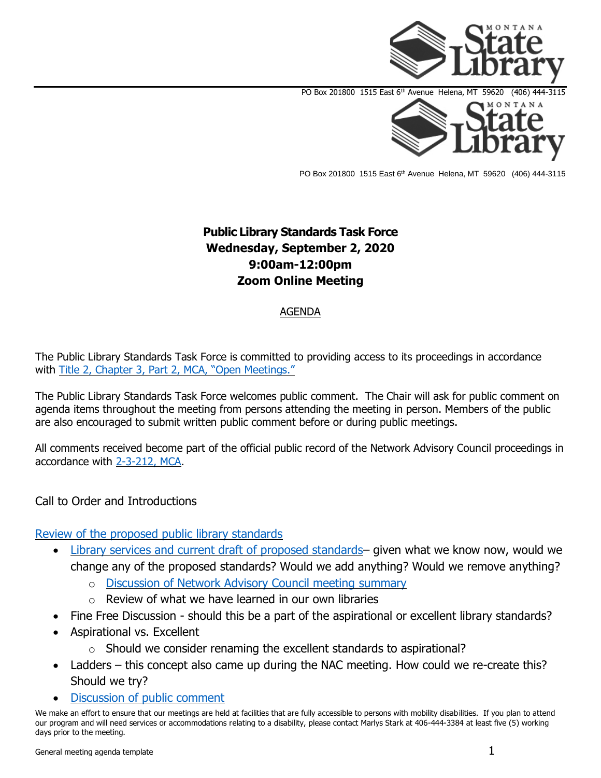

PO Box 201800 1515 East 6<sup>th</sup> Avenue Helena, MT 59620 (406) 444-3115

## **Public Library Standards Task Force Wednesday, September 2, 2020 9:00am-12:00pm Zoom Online Meeting**

## AGENDA

The Public Library Standards Task Force is committed to providing access to its proceedings in accordance with [Title 2, Chapter 3, Part 2, MCA, "Open Meetings."](https://leg.mt.gov/bills/mca/title_0020/chapter_0030/part_0020/sections_index.html)

The Public Library Standards Task Force welcomes public comment. The Chair will ask for public comment on agenda items throughout the meeting from persons attending the meeting in person. Members of the public are also encouraged to submit written public comment before or during public meetings.

All comments received become part of the official public record of the Network Advisory Council proceedings in accordance with [2-3-212, MCA.](https://leg.mt.gov/bills/mca/title_0020/chapter_0030/part_0020/sections_index.html)

## Call to Order and Introductions

## [Review of the proposed public library standards](http://ftp.aspen.msl.mt.gov/EventResources/20200824095159_18306.pdf)

- [Library services and current draft of proposed standards](http://ftp.aspen.msl.mt.gov/EventResources/20200519135225_17560.docx) given what we know now, would we change any of the proposed standards? Would we add anything? Would we remove anything?
	- o [Discussion of Network Advisory Council meeting](http://ftp.aspen.msl.mt.gov/EventResources/20200824095448_18306.pdf) summary
	- $\circ$  Review of what we have learned in our own libraries
- Fine Free Discussion should this be a part of the aspirational or excellent library standards?
- Aspirational vs. Excellent
	- $\circ$  Should we consider renaming the excellent standards to aspirational?
- Ladders this concept also came up during the NAC meeting. How could we re-create this? Should we try?
- [Discussion of public comment](http://ftp.aspen.msl.mt.gov/EventResources/20200519134808_17560.pdf)

We make an effort to ensure that our meetings are held at facilities that are fully accessible to persons with mobility disabilities. If you plan to attend our program and will need services or accommodations relating to a disability, please contact Marlys Stark at 406-444-3384 at least five (5) working days prior to the meeting.